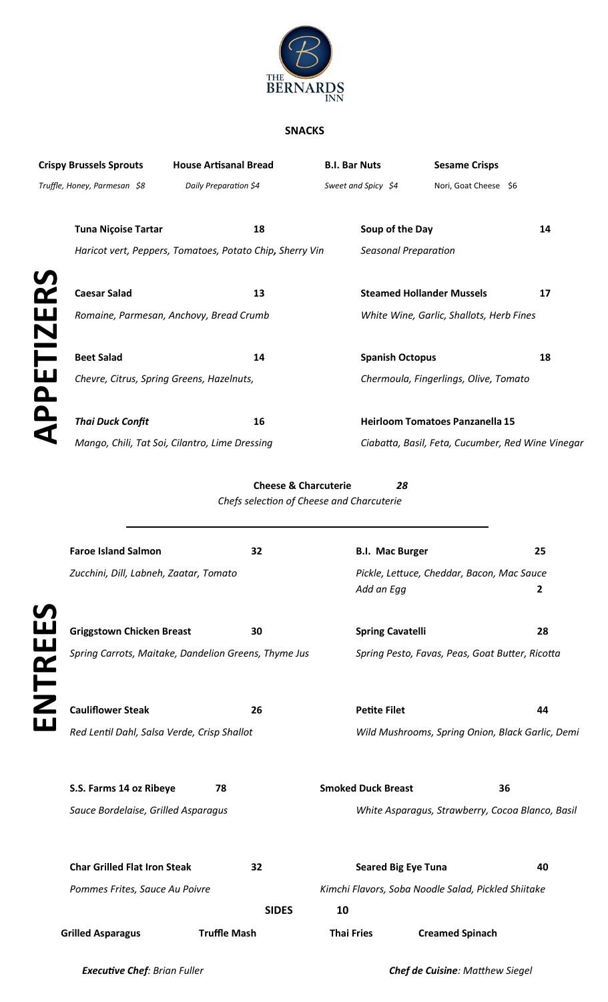

## **SNACKS**

| <b>Crispy Brussels Sprouts</b>                 |                                           | <b>House Artisanal Bread</b>                             | <b>B.I. Bar Nuts</b>                              | <b>Sesame Crisps</b>                   |    |  |
|------------------------------------------------|-------------------------------------------|----------------------------------------------------------|---------------------------------------------------|----------------------------------------|----|--|
| Truffle, Honey, Parmesan \$8                   |                                           | Daily Preparation \$4                                    | Sweet and Spicy \$4                               | Nori, Goat Cheese \$6                  |    |  |
|                                                | <b>Tuna Niçoise Tartar</b>                | 18                                                       | Soup of the Day                                   |                                        | 14 |  |
|                                                |                                           | Haricot vert, Peppers, Tomatoes, Potato Chip, Sherry Vin | Seasonal Preparation                              |                                        |    |  |
|                                                | <b>Caesar Salad</b>                       | 13                                                       |                                                   | <b>Steamed Hollander Mussels</b>       | 17 |  |
|                                                |                                           | Romaine, Parmesan, Anchovy, Bread Crumb                  | White Wine, Garlic, Shallots, Herb Fines          |                                        |    |  |
|                                                | <b>Beet Salad</b>                         | 14                                                       | <b>Spanish Octopus</b>                            |                                        | 18 |  |
|                                                | Chevre, Citrus, Spring Greens, Hazelnuts, |                                                          | Chermoula, Fingerlings, Olive, Tomato             |                                        |    |  |
|                                                | <b>Thai Duck Confit</b>                   | 16                                                       |                                                   | <b>Heirloom Tomatoes Panzanella 15</b> |    |  |
| Mango, Chili, Tat Soi, Cilantro, Lime Dressing |                                           |                                                          | Ciabatta, Basil, Feta, Cucumber, Red Wine Vinegar |                                        |    |  |

| U.              | <b>Caesar Salad</b>                                  | 13                                                                           | <b>Steamed Hollander Mussels</b>                         | 17                                       |  |
|-----------------|------------------------------------------------------|------------------------------------------------------------------------------|----------------------------------------------------------|------------------------------------------|--|
|                 | Romaine, Parmesan, Anchovy, Bread Crumb              |                                                                              |                                                          | White Wine, Garlic, Shallots, Herb Fines |  |
|                 | <b>Beet Salad</b>                                    | 14                                                                           | <b>Spanish Octopus</b>                                   | 18                                       |  |
|                 | Chevre, Citrus, Spring Greens, Hazelnuts,            |                                                                              | Chermoula, Fingerlings, Olive, Tomato                    |                                          |  |
| <b>APPETIZE</b> | <b>Thai Duck Confit</b>                              | 16                                                                           | <b>Heirloom Tomatoes Panzanella 15</b>                   |                                          |  |
|                 | Mango, Chili, Tat Soi, Cilantro, Lime Dressing       |                                                                              | Ciabatta, Basil, Feta, Cucumber, Red Wine Vinega         |                                          |  |
|                 |                                                      | <b>Cheese &amp; Charcuterie</b><br>Chefs selection of Cheese and Charcuterie | 28                                                       |                                          |  |
|                 | <b>Faroe Island Salmon</b>                           | 32                                                                           | <b>B.I. Mac Burger</b>                                   | 25                                       |  |
|                 | Zucchini, Dill, Labneh, Zaatar, Tomato               |                                                                              | Pickle, Lettuce, Cheddar, Bacon, Mac Sauce<br>Add an Egg | 2                                        |  |
|                 | <b>Griggstown Chicken Breast</b>                     | 30                                                                           | <b>Spring Cavatelli</b>                                  | 28                                       |  |
| NTREES          | Spring Carrots, Maitake, Dandelion Greens, Thyme Jus |                                                                              | Spring Pesto, Favas, Peas, Goat Butter, Ricotta          |                                          |  |
|                 | <b>Cauliflower Steak</b>                             | 26                                                                           | <b>Petite Filet</b>                                      | 44                                       |  |
| LLI             | Red Lentil Dahl, Salsa Verde, Crisp Shallot          |                                                                              | Wild Mushrooms, Spring Onion, Black Garlic, Demi         |                                          |  |
|                 | S.S. Farms 14 oz Ribeye                              | 78                                                                           | <b>Smoked Duck Breast</b>                                | 36                                       |  |
|                 | Sauce Bordelaise, Grilled Asparagus                  |                                                                              | White Asparagus, Strawberry, Cocoa Blanco, Basil         |                                          |  |
|                 | <b>Char Grilled Flat Iron Steak</b>                  | 32                                                                           | <b>Seared Big Eye Tuna</b>                               | 40                                       |  |
|                 | Pommes Frites, Sauce Au Poivre                       |                                                                              | Kimchi Flavors, Soba Noodle Salad, Pickled Shiitake      |                                          |  |
|                 |                                                      | <b>SIDES</b>                                                                 | 10                                                       |                                          |  |
|                 | <b>Grilled Asparagus</b>                             | <b>Truffle Mash</b>                                                          | <b>Thai Fries</b><br><b>Creamed Spinach</b>              |                                          |  |
|                 |                                                      |                                                                              |                                                          |                                          |  |

 *Executive Chef: Brian Fuller Chef de Cuisine: Matthew Siegel*